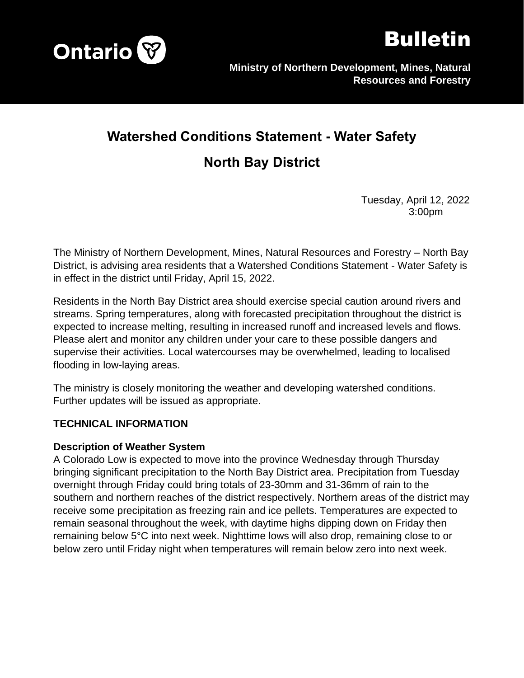



# **Watershed Conditions Statement - Water Safety**

## **North Bay District**

Tuesday, April 12, 2022 3:00pm

The Ministry of Northern Development, Mines, Natural Resources and Forestry – North Bay District, is advising area residents that a Watershed Conditions Statement - Water Safety is in effect in the district until Friday, April 15, 2022.

Residents in the North Bay District area should exercise special caution around rivers and streams. Spring temperatures, along with forecasted precipitation throughout the district is expected to increase melting, resulting in increased runoff and increased levels and flows. Please alert and monitor any children under your care to these possible dangers and supervise their activities. Local watercourses may be overwhelmed, leading to localised flooding in low-laying areas.

The ministry is closely monitoring the weather and developing watershed conditions. Further updates will be issued as appropriate.

#### **TECHNICAL INFORMATION**

#### **Description of Weather System**

A Colorado Low is expected to move into the province Wednesday through Thursday bringing significant precipitation to the North Bay District area. Precipitation from Tuesday overnight through Friday could bring totals of 23-30mm and 31-36mm of rain to the southern and northern reaches of the district respectively. Northern areas of the district may receive some precipitation as freezing rain and ice pellets. Temperatures are expected to remain seasonal throughout the week, with daytime highs dipping down on Friday then remaining below 5°C into next week. Nighttime lows will also drop, remaining close to or below zero until Friday night when temperatures will remain below zero into next week.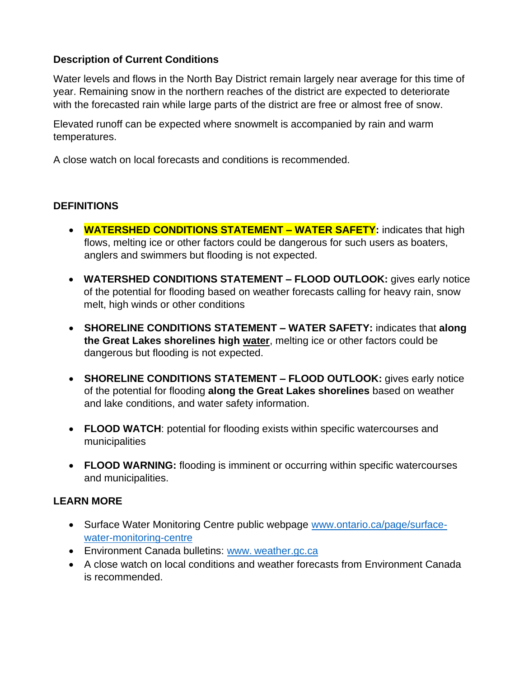### **Description of Current Conditions**

Water levels and flows in the North Bay District remain largely near average for this time of year. Remaining snow in the northern reaches of the district are expected to deteriorate with the forecasted rain while large parts of the district are free or almost free of snow.

Elevated runoff can be expected where snowmelt is accompanied by rain and warm temperatures.

A close watch on local forecasts and conditions is recommended.

#### **DEFINITIONS**

- **WATERSHED CONDITIONS STATEMENT – WATER SAFETY:** indicates that high flows, melting ice or other factors could be dangerous for such users as boaters, anglers and swimmers but flooding is not expected.
- **WATERSHED CONDITIONS STATEMENT – FLOOD OUTLOOK:** gives early notice of the potential for flooding based on weather forecasts calling for heavy rain, snow melt, high winds or other conditions
- **SHORELINE CONDITIONS STATEMENT – WATER SAFETY:** indicates that **along the Great Lakes shorelines high water**, melting ice or other factors could be dangerous but flooding is not expected.
- **SHORELINE CONDITIONS STATEMENT – FLOOD OUTLOOK:** gives early notice of the potential for flooding **along the Great Lakes shorelines** based on weather and lake conditions, and water safety information.
- **FLOOD WATCH**: potential for flooding exists within specific watercourses and municipalities
- **FLOOD WARNING:** flooding is imminent or occurring within specific watercourses and municipalities.

#### **LEARN MORE**

- Surface Water Monitoring Centre public webpage [www.ontario.ca/page/surface](http://www.ontario.ca/page/surface-water-monitoring-centre)[water-monitoring-centre](http://www.ontario.ca/page/surface-water-monitoring-centre)
- Environment Canada bulletins: www. [weather.gc.ca](http://weather.gc.ca/)
- A close watch on local conditions and weather forecasts from Environment Canada is recommended.